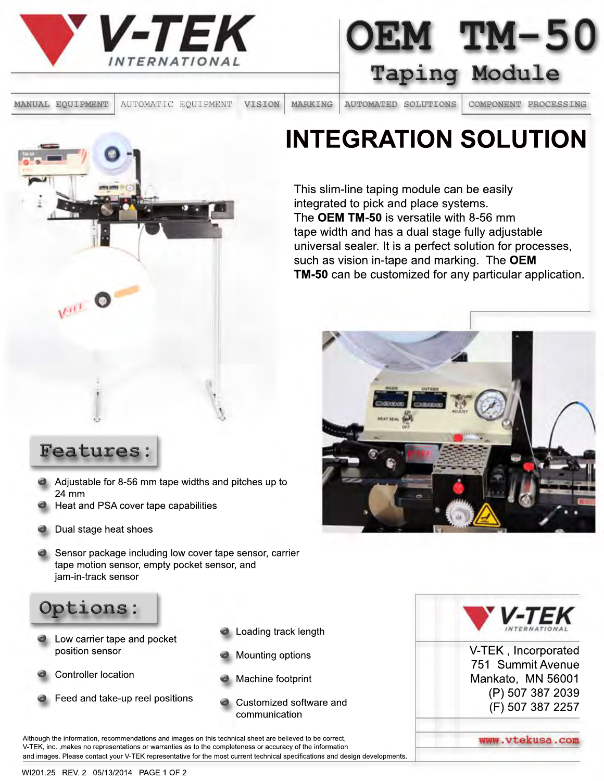

**OEM TM-50 Taping Module** 

**MANUAL EQUIPMENT** AUTOMATIC EQUIPMENT **VISION MARKING AUTOMATED SOLUTIONS COMPONENT PROCESSING**

## **INTEGRATION SOLUTION**

This slim-line taping module can be easily integrated to pick and place systems. The **OEM TM-50** is versatile with 8-56 mm tape width and has a dual stage fully adjustable universal sealer. It is a perfect solution for processes, such as vision in-tape and marking. The **OEM TM-50** can be customized for any particular application.



Varia O

- Features:<br>
 Adjustable for 8-56 mm t<br>
24 mm<br>
 Heat and PSA cover tax • Adjust<br>24 mm<br>• Heat a Adjustable for 8-56 mm tape widths and pitches up to 24 mm
	- Heat and PSA cover tape capabilities
- **.** Dual stage heat shoes
- **.** Sensor package including low cover tape sensor, carrier tape motion sensor, empty pocket sensor, and jam-in-track sensor



- **.** Low de position **C** Low carrier tape and pocket position sensor
	- Controller location
- **. .** Feed and take-up reel positions
- **.** Loadin Loading track length
- Mounti<br>• Machir<br>• Guster **.** Loadin<br> **.** Mounti Mounting options
	- Machine footprint
	- Customized software and communication

Although the information, recommendations and images on this technical sheet are believed to be correct, V-TEK, inc. ,makes no representations or warranties as to the completeness or accuracy of the information and images. Please contact your V-TEK representative for the most current technical specifications and design developments.